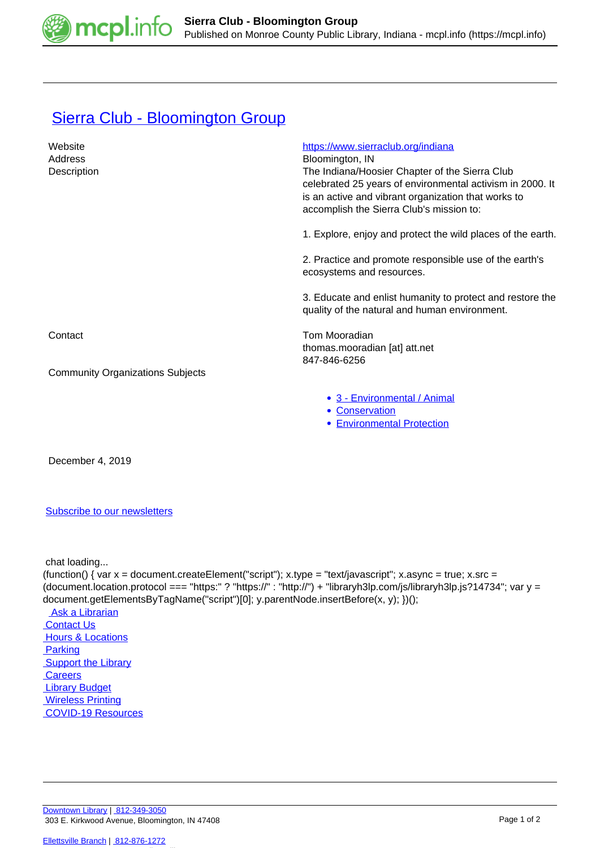

## [Sierra Club - Bloomington Group](https://mcpl.info/commorg/sierra-club-bloomington-group)

| Website<br>Address<br>Description       | https://www.sierraclub.org/indiana<br>Bloomington, IN<br>The Indiana/Hoosier Chapter of the Sierra Club<br>celebrated 25 years of environmental activism in 2000. It<br>is an active and vibrant organization that works to<br>accomplish the Sierra Club's mission to: |
|-----------------------------------------|-------------------------------------------------------------------------------------------------------------------------------------------------------------------------------------------------------------------------------------------------------------------------|
|                                         | 1. Explore, enjoy and protect the wild places of the earth.                                                                                                                                                                                                             |
|                                         | 2. Practice and promote responsible use of the earth's<br>ecosystems and resources.                                                                                                                                                                                     |
|                                         | 3. Educate and enlist humanity to protect and restore the<br>quality of the natural and human environment.                                                                                                                                                              |
| Contact                                 | Tom Mooradian<br>thomas.mooradian [at] att.net<br>847-846-6256                                                                                                                                                                                                          |
| <b>Community Organizations Subjects</b> |                                                                                                                                                                                                                                                                         |
|                                         | • 3 - Environmental / Animal<br>• Conservation<br><b>• Environmental Protection</b>                                                                                                                                                                                     |
|                                         |                                                                                                                                                                                                                                                                         |

December 4, 2019

[Subscribe to our newsletters](https://mcpl.info/geninfo/subscribe-think-library-newsletter)

chat loading...

(function() { var  $x =$  document.createElement("script");  $x.$ type = "text/javascript";  $x.$ async = true;  $x.$ src = (document.location.protocol === "https:" ? "https://" : "http://") + "libraryh3lp.com/js/libraryh3lp.js?14734"; var y = document.getElementsByTagName("script")[0]; y.parentNode.insertBefore(x, y); })(); Ask a Librarian  [Contact Us](https://mcpl.info/geninfo/contact-us) **Hours & Locations**  [Parking](https://mcpl.info/parking?utm_source=footer&utm_medium=links&utm_campaign=parking) **Support the Library Careers**  [Library Budget](https://budgetnotices.in.gov/unit_lookup.aspx?ct=53000)  [Wireless Printing](https://tbs.eprintit.com/portal/#/ppl/upload/monroecpl)  [COVID-19 Resources](https://mcpl.info/geninfo/local-covid-resources)